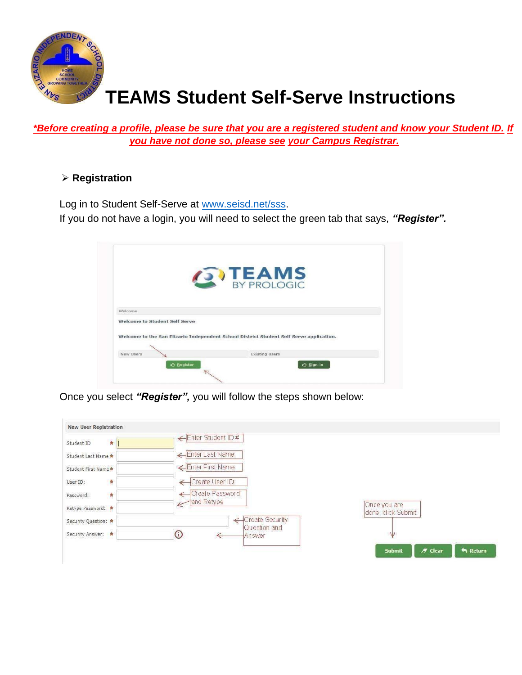

# **TEAMS Student Self-Serve Instructions**

*\*Before creating a profile, please be sure that you are a registered student and know your Student ID. If you have not done so, please see your Campus Registrar.*

# **Registration**

Log in to Student Self-Serve at www.seisd.net/sss.

If you do not have a login, you will need to select the green tab that says, *"Register".*

|                               | <b>OTEAMS</b>                                                                           |
|-------------------------------|-----------------------------------------------------------------------------------------|
|                               |                                                                                         |
|                               |                                                                                         |
| Welcome                       |                                                                                         |
| Welcome to Student Self Serve |                                                                                         |
|                               |                                                                                         |
|                               | Welcome to the San Elizario Independent School District Student Self Serve application. |
|                               |                                                                                         |
| <b>New Users</b>              | Existing Users                                                                          |

Once you select *"Register",* you will follow the steps shown below:

|                                    | Enter Student ID#                |                                    |
|------------------------------------|----------------------------------|------------------------------------|
| $\star$<br>Student ID              |                                  |                                    |
| Student Last Name *                | Enter Last Name                  |                                    |
| Student First Name                 | Enter First Name                 |                                    |
| $\frac{1}{\mathbf{R}}$<br>User ID: | Create User ID                   |                                    |
| Ŕ<br>Password:                     | Create Password                  |                                    |
| Retype Password:                   | and Retype                       | Once you are<br>done, click Submit |
| Security Question: *               | -Create Security<br>Question and |                                    |
| Security Answer:                   | $_{\odot}$<br><b>Answer</b>      | V                                  |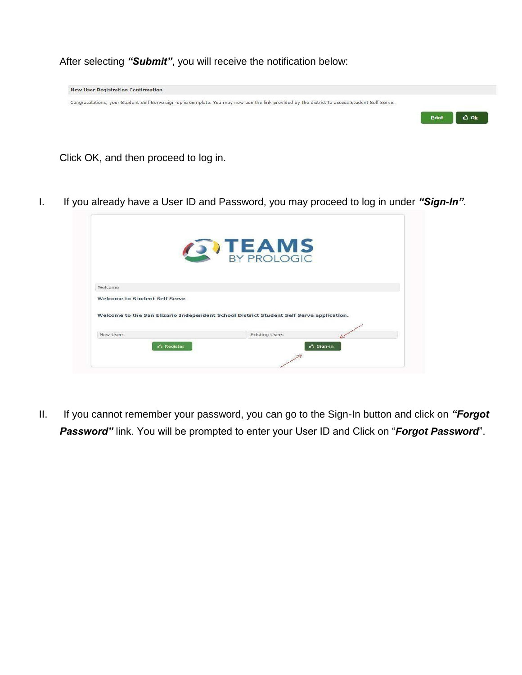After selecting *"Submit"*, you will receive the notification below:



Click OK, and then proceed to log in.

I. If you already have a User ID and Password, you may proceed to log in under *"Sign-In"*.

|                                      | <b>ON TEAMS</b>                                                                         |  |
|--------------------------------------|-----------------------------------------------------------------------------------------|--|
|                                      |                                                                                         |  |
| Welcome                              |                                                                                         |  |
| <b>Welcome to Student Self Serve</b> |                                                                                         |  |
|                                      | Welcome to the San Elizario Independent School District Student Self Serve application. |  |
|                                      |                                                                                         |  |

II. If you cannot remember your password, you can go to the Sign-In button and click on *"Forgot Password"* link. You will be prompted to enter your User ID and Click on "*Forgot Password*".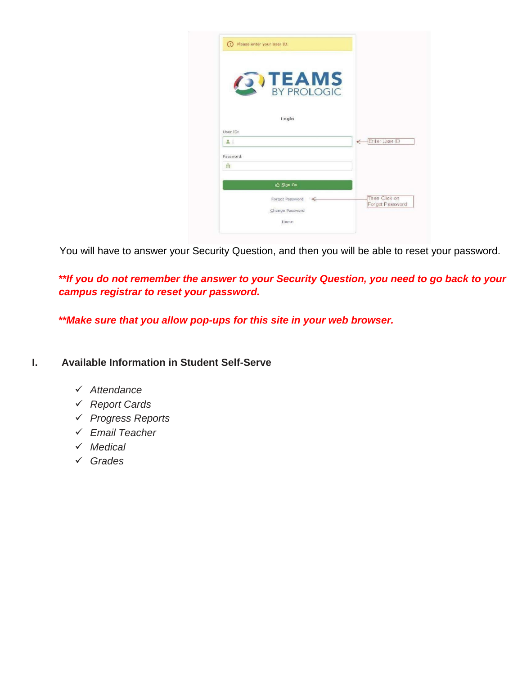|           | <b>SV TEAMS</b> |                                  |
|-----------|-----------------|----------------------------------|
|           |                 |                                  |
|           |                 |                                  |
|           |                 |                                  |
|           | Login           |                                  |
| User ID:  |                 |                                  |
| $-1$      |                 | Enter User ID                    |
| Password: |                 |                                  |
| 咼         |                 |                                  |
|           | $O$ Sign On     |                                  |
|           | Forgot Password | Then Click on<br>Forgot Password |

You will have to answer your Security Question, and then you will be able to reset your password.

*\*\*If you do not remember the answer to your Security Question, you need to go back to your campus registrar to reset your password.* 

*\*\*Make sure that you allow pop-ups for this site in your web browser.* 

### **I. Available Information in Student Self-Serve**

- *Attendance*
- *Report Cards*
- *Progress Reports*
- *Email Teacher*
- *Medical*
- *Grades*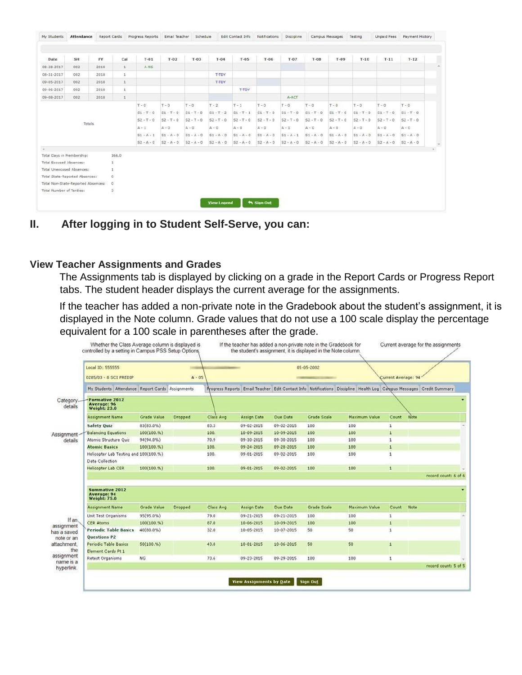| My Students                    | Attendance                         | Report Cards |                         | Progress Reports | Email Teacher | Schedule     |                    | Edit Contact Info | Notifications       | Discipline   |              | Campus Messages | Testing      | <b>Unpaid Fees</b> | Payment History |        |
|--------------------------------|------------------------------------|--------------|-------------------------|------------------|---------------|--------------|--------------------|-------------------|---------------------|--------------|--------------|-----------------|--------------|--------------------|-----------------|--------|
|                                |                                    |              |                         |                  |               |              |                    |                   |                     |              |              |                 |              |                    |                 |        |
| Date                           | SH                                 | FY           | Cal                     | $T-01$           | $T-02$        | $T-03$       | $T-04$             | $T-0.5$           | $T-06$              | $T - 07$     | $T-0.8$      | $T-09$          | $T-10$       | $T-11$             | $T-12$          |        |
| 08-28-2017                     | 002                                | 2018         | $1$                     | $A-NS$           |               |              |                    |                   |                     |              |              |                 |              |                    |                 |        |
| 08-31-2017                     | 002                                | 2018         | $\mathbf{1}$            |                  |               |              | T-TDY              |                   |                     |              |              |                 |              |                    |                 |        |
| 09-05-2017                     | 002                                | 2018         | $\mathbf{1}$            |                  |               |              | T-TDY              |                   |                     |              |              |                 |              |                    |                 |        |
| 09-06-2017                     | 002                                | 2018         | $\mathbf{1}$            |                  |               |              |                    | T-TDY             |                     |              |              |                 |              |                    |                 |        |
| 09-08-2017                     | 002                                | 2018         | $\mathbbm{1}$           |                  |               |              |                    |                   |                     | A-ACT        |              |                 |              |                    |                 |        |
|                                |                                    |              |                         | $T - 0$          | $T - 0$       | $T - 0$      | $T - 2$            | $T - 1$           | $T - 0$             | $T - 0$      | $T - 0$      | $T - 0$         | $T - 0$      | $T - 0$            | $T - 0$         |        |
|                                |                                    |              |                         | $S1 - T - 0$     | $S1 - T - 0$  | $51 - T - D$ | $S1 - T - 2$       | $S1 - T - 1$      | $51 - T - 0$        | $51 - T - 0$ | $SI - T + 0$ | $51 - T - 0$    | $S1 - T - D$ | $S1 - T - 0$       | $SI - T - 0$    |        |
|                                |                                    |              |                         | $S2 - T - 0$     | $52 - T - 0$  | $S2 - T - 0$ | $52 - T - 0$       | $S2 - T - 0$      | $52 - T - 0$        | $52 - T - 0$ | $S2 - T - 0$ | $52 - T - 0$    | $S2 - T - 0$ | $52 - T - 0$       | $S2 - T - 0$    |        |
|                                | Totals                             |              |                         | $A - 1$          | $A - 0$       | $A - 0$      | $A - 0$            | $A - 0$           | $A - 0$             | $A - 1$      | $A - 0$      | $A - 0$         | $A - 0$      | $A - 0$            | $A - 0$         |        |
|                                |                                    |              |                         | $S1 - A - 1$     | $S1 - A - 0$  | $S1 - A - 0$ | $S1 - A - 0$       | $S1 - A - 0$      | $SI - A - 0$        | $S1 - A - 1$ | $S1 - A - 0$ | $S1 - A - 0$    | $S1 - A - 0$ | $S1 - A - 0$       | $S1 - A - 0$    |        |
|                                |                                    |              |                         | $S2 - A - 0$     | $S2 - A - 0$  | $S2 - A - 0$ | $S2 - A - 0$       | $S2 - A - 0$      | $S2 - A - 0$        | $S2 - A - 0$ | $S2 - A - 0$ | $S2 - A - 0$    | $S2 - A - 0$ | $S2 - A - 0$       | $S2 - A - 0$    | $\sim$ |
| $\sim$                         |                                    |              |                         |                  |               |              |                    |                   |                     |              |              |                 |              |                    |                 |        |
| Total Days in Membership:      |                                    |              | 166.0                   |                  |               |              |                    |                   |                     |              |              |                 |              |                    |                 |        |
| <b>Total Excused Absences:</b> |                                    |              | 1                       |                  |               |              |                    |                   |                     |              |              |                 |              |                    |                 |        |
|                                | Total Unexcused Absences:          |              | 1                       |                  |               |              |                    |                   |                     |              |              |                 |              |                    |                 |        |
|                                | Total State-Reported Absences:     |              | $\Omega$                |                  |               |              |                    |                   |                     |              |              |                 |              |                    |                 |        |
|                                | Total Non-State-Reported Absences: |              | $\ddot{\mathbf{0}}$     |                  |               |              |                    |                   |                     |              |              |                 |              |                    |                 |        |
| Total Number of Tardies:       |                                    |              | $\overline{\mathbf{3}}$ |                  |               |              |                    |                   |                     |              |              |                 |              |                    |                 |        |
|                                |                                    |              |                         |                  |               |              | <b>View Legend</b> |                   | <b>the Sign Out</b> |              |              |                 |              |                    |                 |        |
|                                |                                    |              |                         |                  |               |              |                    |                   |                     |              |              |                 |              |                    |                 |        |

**II. After logging in to Student Self-Serve, you can:** 

# **View Teacher Assignments and Grades**

The Assignments tab is displayed by clicking on a grade in the Report Cards or Progress Report tabs. The student header displays the current average for the assignments.

If the teacher has added a non-private note in the Gradebook about the student's assignment, it is displayed in the Note column. Grade values that do not use a 100 scale display the percentage equivalent for a 100 scale in parentheses after the grade.

|                         | Local ID: 555555<br>0285/03 - 8 SCI PREDIP                  |             | $A - 05$       |                  | 05-05-2002         |                  |                    |                                                                                                                      |                |      | Current Average: 94  |  |  |  |
|-------------------------|-------------------------------------------------------------|-------------|----------------|------------------|--------------------|------------------|--------------------|----------------------------------------------------------------------------------------------------------------------|----------------|------|----------------------|--|--|--|
|                         | My Students Attendance Report Cards Assignments             |             |                |                  |                    |                  |                    | Progress Reports Email Teacher Edit Contact Info Notifications Discipline Health Log Caropus Messages Credit Summary |                |      |                      |  |  |  |
| Category.<br>details    | <b>Formative 2012</b><br>Average: 96<br><b>Weight: 23.0</b> |             |                |                  |                    |                  |                    |                                                                                                                      |                |      |                      |  |  |  |
|                         | <b>Assignment Name</b>                                      | Grade Value | <b>Dropped</b> | Class Avg.       | <b>Assign Date</b> | Due Date         | <b>Grade Scale</b> | Maximum Value                                                                                                        | Count          | Note |                      |  |  |  |
|                         | <b>Safety Quiz</b>                                          | 83(83.0%)   |                | 83.3             | $09 - 02 - 2015$   | 09-02-2015       | 100                | 100                                                                                                                  | ı              |      |                      |  |  |  |
| Assignment<br>details   | <b>Balancing Equations</b>                                  | 100(100.%)  |                | 100.             | $10-09-2015$       | $10 - 09 - 2015$ | 100                | 100                                                                                                                  | 1              |      |                      |  |  |  |
|                         | Atomic Structure Quiz                                       | 94(94.0%)   |                | 70.9             | 09-30-2015         | 09-30-2015       | 100                | 100                                                                                                                  | 1              |      |                      |  |  |  |
|                         | <b>Atomic Basics</b>                                        | 100(100. %) |                | 100.             | 09-24-2015         | 09-28-2015       | 100                | 100                                                                                                                  | $\mathbf 1$    |      |                      |  |  |  |
|                         | Helicopter Lab Testing and 100(100.%)<br>Data Collection    |             |                | 100.             | 09-01-2015         | 09-02-2015       | 100                | 100                                                                                                                  | 1              |      |                      |  |  |  |
|                         | <b>Helicopter Lab CER</b>                                   | 100(100. %) |                | 100.             | $09 - 01 - 2015$   | 09-02-2015       | 100                | 100                                                                                                                  | 1              |      | record count: 6 of 6 |  |  |  |
|                         | <b>Summative 2012</b><br>Average: 94<br><b>Weight: 75.0</b> |             |                |                  |                    |                  |                    |                                                                                                                      |                |      |                      |  |  |  |
|                         | <b>Assignment Name</b>                                      | Grade Value | Dropped        | <b>Class Avg</b> | <b>Assign Date</b> | <b>Due Date</b>  | <b>Grade Scale</b> | Maximum Value                                                                                                        | Count          | Note |                      |  |  |  |
|                         | Unit Test Organisms                                         | 95(95.0%)   |                | 79.0             | $09 - 21 - 2015$   | 09-21-2015       | 100                | 100                                                                                                                  | 1              |      |                      |  |  |  |
| If an,<br>assignment    | <b>CER Atoms</b>                                            | 100(100.%)  |                | 87.0             | $10-06-2015$       | 10-09-2015       | 100                | 100                                                                                                                  | 1              |      |                      |  |  |  |
| has a saved             | <b>Periodic Table Basics</b>                                | 40(80.0%)   |                | 32.0             | $10.05 - 2015$     | 10-07-2015       | 50                 | 50                                                                                                                   | 1              |      |                      |  |  |  |
| note or an              | Questions P2                                                |             |                |                  |                    |                  |                    |                                                                                                                      |                |      |                      |  |  |  |
| attachment.<br>the      | Periodic Table Basics<br>Element Cards Pt 1                 | 50(100.% )  |                | 43.8             | $10 - 01 - 2015$   | $10 - 06 - 2015$ | 50                 | 50                                                                                                                   | $\overline{1}$ |      |                      |  |  |  |
| assignment<br>name is a | Retest Organisms                                            | <b>NG</b>   |                | 73.6             | 09-23-2015         | 09-29-2015       | 100                | 100                                                                                                                  | $\mathbf 1$    |      |                      |  |  |  |